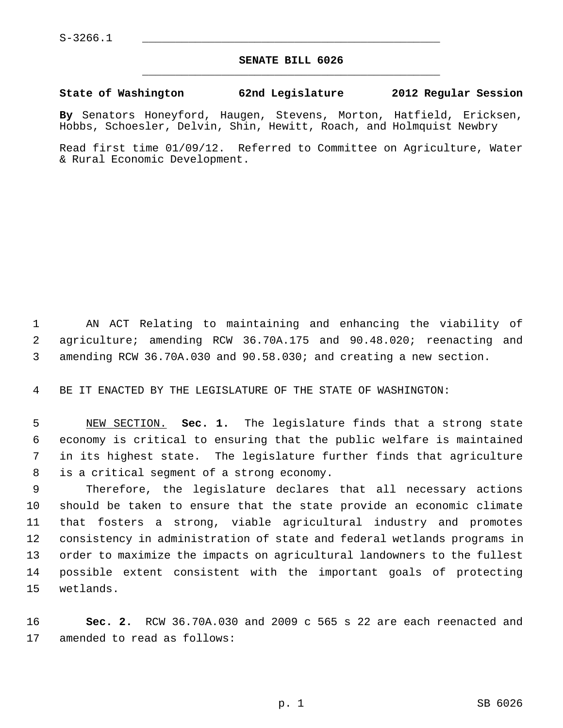## **SENATE BILL 6026** \_\_\_\_\_\_\_\_\_\_\_\_\_\_\_\_\_\_\_\_\_\_\_\_\_\_\_\_\_\_\_\_\_\_\_\_\_\_\_\_\_\_\_\_\_

## **State of Washington 62nd Legislature 2012 Regular Session**

**By** Senators Honeyford, Haugen, Stevens, Morton, Hatfield, Ericksen, Hobbs, Schoesler, Delvin, Shin, Hewitt, Roach, and Holmquist Newbry

Read first time 01/09/12. Referred to Committee on Agriculture, Water & Rural Economic Development.

 1 AN ACT Relating to maintaining and enhancing the viability of 2 agriculture; amending RCW 36.70A.175 and 90.48.020; reenacting and 3 amending RCW 36.70A.030 and 90.58.030; and creating a new section.

4 BE IT ENACTED BY THE LEGISLATURE OF THE STATE OF WASHINGTON:

 5 NEW SECTION. **Sec. 1.** The legislature finds that a strong state 6 economy is critical to ensuring that the public welfare is maintained 7 in its highest state. The legislature further finds that agriculture 8 is a critical segment of a strong economy.

 9 Therefore, the legislature declares that all necessary actions 10 should be taken to ensure that the state provide an economic climate 11 that fosters a strong, viable agricultural industry and promotes 12 consistency in administration of state and federal wetlands programs in 13 order to maximize the impacts on agricultural landowners to the fullest 14 possible extent consistent with the important goals of protecting 15 wetlands.

16 **Sec. 2.** RCW 36.70A.030 and 2009 c 565 s 22 are each reenacted and 17 amended to read as follows: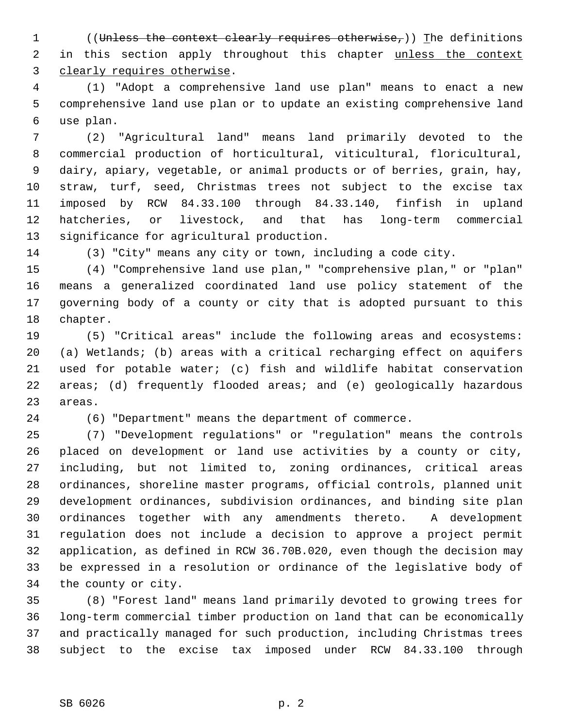1 ((Unless the context clearly requires otherwise,)) The definitions 2 in this section apply throughout this chapter unless the context 3 clearly requires otherwise.

 4 (1) "Adopt a comprehensive land use plan" means to enact a new 5 comprehensive land use plan or to update an existing comprehensive land 6 use plan.

 7 (2) "Agricultural land" means land primarily devoted to the 8 commercial production of horticultural, viticultural, floricultural, 9 dairy, apiary, vegetable, or animal products or of berries, grain, hay, 10 straw, turf, seed, Christmas trees not subject to the excise tax 11 imposed by RCW 84.33.100 through 84.33.140, finfish in upland 12 hatcheries, or livestock, and that has long-term commercial 13 significance for agricultural production.

14 (3) "City" means any city or town, including a code city.

15 (4) "Comprehensive land use plan," "comprehensive plan," or "plan" 16 means a generalized coordinated land use policy statement of the 17 governing body of a county or city that is adopted pursuant to this 18 chapter.

19 (5) "Critical areas" include the following areas and ecosystems: 20 (a) Wetlands; (b) areas with a critical recharging effect on aquifers 21 used for potable water; (c) fish and wildlife habitat conservation 22 areas; (d) frequently flooded areas; and (e) geologically hazardous 23 areas.

24 (6) "Department" means the department of commerce.

25 (7) "Development regulations" or "regulation" means the controls 26 placed on development or land use activities by a county or city, 27 including, but not limited to, zoning ordinances, critical areas 28 ordinances, shoreline master programs, official controls, planned unit 29 development ordinances, subdivision ordinances, and binding site plan 30 ordinances together with any amendments thereto. A development 31 regulation does not include a decision to approve a project permit 32 application, as defined in RCW 36.70B.020, even though the decision may 33 be expressed in a resolution or ordinance of the legislative body of 34 the county or city.

35 (8) "Forest land" means land primarily devoted to growing trees for 36 long-term commercial timber production on land that can be economically 37 and practically managed for such production, including Christmas trees 38 subject to the excise tax imposed under RCW 84.33.100 through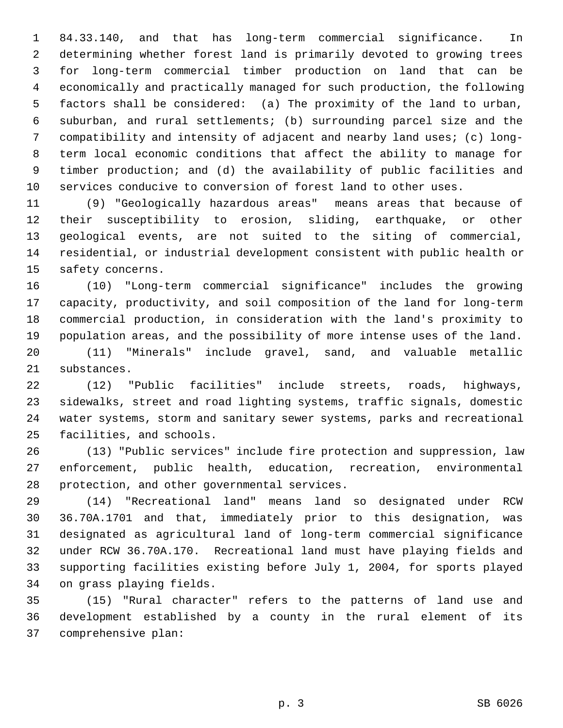1 84.33.140, and that has long-term commercial significance. In 2 determining whether forest land is primarily devoted to growing trees 3 for long-term commercial timber production on land that can be 4 economically and practically managed for such production, the following 5 factors shall be considered: (a) The proximity of the land to urban, 6 suburban, and rural settlements; (b) surrounding parcel size and the 7 compatibility and intensity of adjacent and nearby land uses; (c) long- 8 term local economic conditions that affect the ability to manage for 9 timber production; and (d) the availability of public facilities and 10 services conducive to conversion of forest land to other uses.

11 (9) "Geologically hazardous areas" means areas that because of 12 their susceptibility to erosion, sliding, earthquake, or other 13 geological events, are not suited to the siting of commercial, 14 residential, or industrial development consistent with public health or 15 safety concerns.

16 (10) "Long-term commercial significance" includes the growing 17 capacity, productivity, and soil composition of the land for long-term 18 commercial production, in consideration with the land's proximity to 19 population areas, and the possibility of more intense uses of the land.

20 (11) "Minerals" include gravel, sand, and valuable metallic 21 substances.

22 (12) "Public facilities" include streets, roads, highways, 23 sidewalks, street and road lighting systems, traffic signals, domestic 24 water systems, storm and sanitary sewer systems, parks and recreational 25 facilities, and schools.

26 (13) "Public services" include fire protection and suppression, law 27 enforcement, public health, education, recreation, environmental 28 protection, and other governmental services.

29 (14) "Recreational land" means land so designated under RCW 30 36.70A.1701 and that, immediately prior to this designation, was 31 designated as agricultural land of long-term commercial significance 32 under RCW 36.70A.170. Recreational land must have playing fields and 33 supporting facilities existing before July 1, 2004, for sports played 34 on grass playing fields.

35 (15) "Rural character" refers to the patterns of land use and 36 development established by a county in the rural element of its 37 comprehensive plan: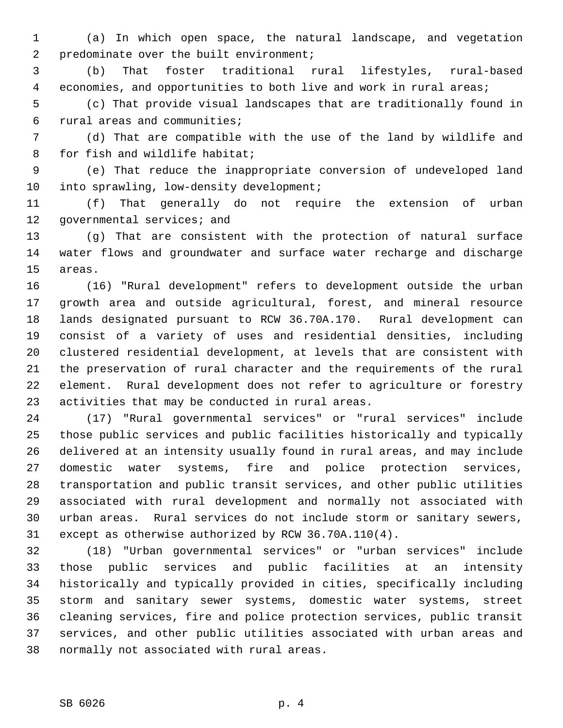1 (a) In which open space, the natural landscape, and vegetation 2 predominate over the built environment;

 3 (b) That foster traditional rural lifestyles, rural-based 4 economies, and opportunities to both live and work in rural areas;

 5 (c) That provide visual landscapes that are traditionally found in 6 rural areas and communities;

 7 (d) That are compatible with the use of the land by wildlife and 8 for fish and wildlife habitat;

 9 (e) That reduce the inappropriate conversion of undeveloped land 10 into sprawling, low-density development;

11 (f) That generally do not require the extension of urban 12 governmental services; and

13 (g) That are consistent with the protection of natural surface 14 water flows and groundwater and surface water recharge and discharge 15 areas.

16 (16) "Rural development" refers to development outside the urban 17 growth area and outside agricultural, forest, and mineral resource 18 lands designated pursuant to RCW 36.70A.170. Rural development can 19 consist of a variety of uses and residential densities, including 20 clustered residential development, at levels that are consistent with 21 the preservation of rural character and the requirements of the rural 22 element. Rural development does not refer to agriculture or forestry 23 activities that may be conducted in rural areas.

24 (17) "Rural governmental services" or "rural services" include 25 those public services and public facilities historically and typically 26 delivered at an intensity usually found in rural areas, and may include 27 domestic water systems, fire and police protection services, 28 transportation and public transit services, and other public utilities 29 associated with rural development and normally not associated with 30 urban areas. Rural services do not include storm or sanitary sewers, 31 except as otherwise authorized by RCW 36.70A.110(4).

32 (18) "Urban governmental services" or "urban services" include 33 those public services and public facilities at an intensity 34 historically and typically provided in cities, specifically including 35 storm and sanitary sewer systems, domestic water systems, street 36 cleaning services, fire and police protection services, public transit 37 services, and other public utilities associated with urban areas and 38 normally not associated with rural areas.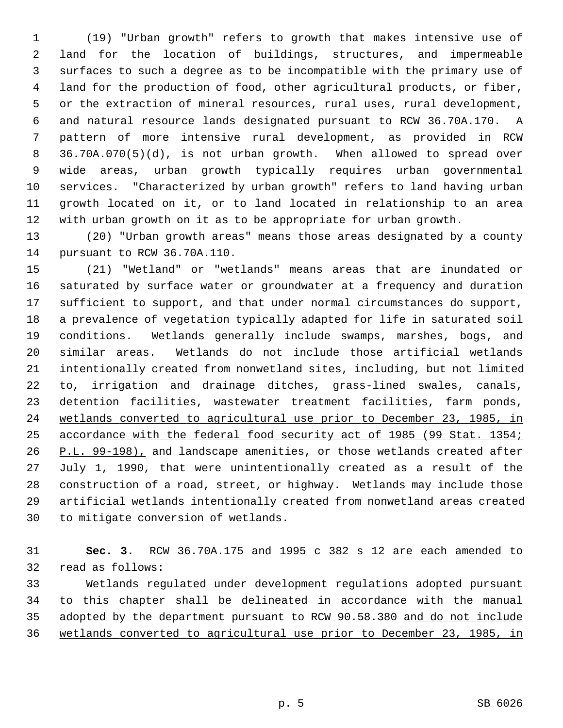1 (19) "Urban growth" refers to growth that makes intensive use of 2 land for the location of buildings, structures, and impermeable 3 surfaces to such a degree as to be incompatible with the primary use of 4 land for the production of food, other agricultural products, or fiber, 5 or the extraction of mineral resources, rural uses, rural development, 6 and natural resource lands designated pursuant to RCW 36.70A.170. A 7 pattern of more intensive rural development, as provided in RCW 8 36.70A.070(5)(d), is not urban growth. When allowed to spread over 9 wide areas, urban growth typically requires urban governmental 10 services. "Characterized by urban growth" refers to land having urban 11 growth located on it, or to land located in relationship to an area 12 with urban growth on it as to be appropriate for urban growth.

13 (20) "Urban growth areas" means those areas designated by a county 14 pursuant to RCW 36.70A.110.

15 (21) "Wetland" or "wetlands" means areas that are inundated or 16 saturated by surface water or groundwater at a frequency and duration 17 sufficient to support, and that under normal circumstances do support, 18 a prevalence of vegetation typically adapted for life in saturated soil 19 conditions. Wetlands generally include swamps, marshes, bogs, and 20 similar areas. Wetlands do not include those artificial wetlands 21 intentionally created from nonwetland sites, including, but not limited 22 to, irrigation and drainage ditches, grass-lined swales, canals, 23 detention facilities, wastewater treatment facilities, farm ponds, 24 wetlands converted to agricultural use prior to December 23, 1985, in 25 accordance with the federal food security act of 1985 (99 Stat. 1354; 26 P.L. 99-198), and landscape amenities, or those wetlands created after 27 July 1, 1990, that were unintentionally created as a result of the 28 construction of a road, street, or highway. Wetlands may include those 29 artificial wetlands intentionally created from nonwetland areas created 30 to mitigate conversion of wetlands.

31 **Sec. 3.** RCW 36.70A.175 and 1995 c 382 s 12 are each amended to 32 read as follows:

33 Wetlands regulated under development regulations adopted pursuant 34 to this chapter shall be delineated in accordance with the manual 35 adopted by the department pursuant to RCW 90.58.380 and do not include 36 wetlands converted to agricultural use prior to December 23, 1985, in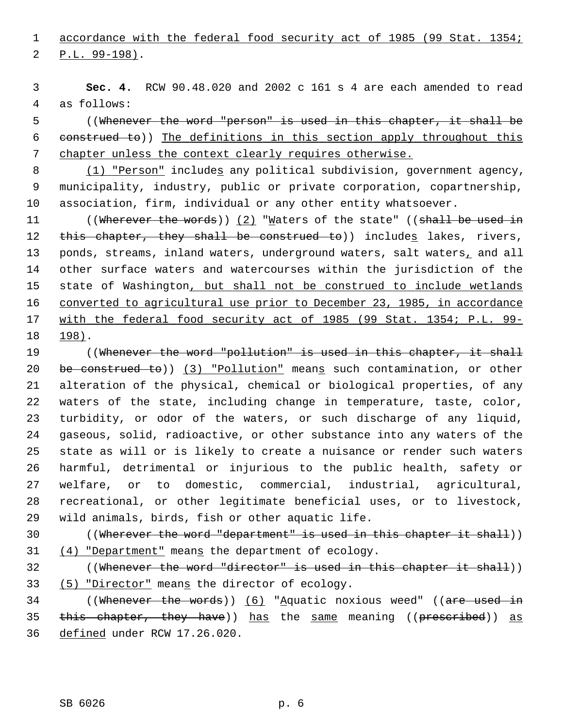1 accordance with the federal food security act of 1985 (99 Stat. 1354;

2 P.L. 99-198).

 3 **Sec. 4.** RCW 90.48.020 and 2002 c 161 s 4 are each amended to read 4 as follows:

 5 ((Whenever the word "person" is used in this chapter, it shall be 6 construed to)) The definitions in this section apply throughout this 7 chapter unless the context clearly requires otherwise.

 8 (1) "Person" includes any political subdivision, government agency, 9 municipality, industry, public or private corporation, copartnership, 10 association, firm, individual or any other entity whatsoever.

11 ((Wherever the words)) (2) "Maters of the state" ((shall be used in 12 this chapter, they shall be construed to)) includes lakes, rivers, 13 ponds, streams, inland waters, underground waters, salt waters, and all 14 other surface waters and watercourses within the jurisdiction of the 15 state of Washington, but shall not be construed to include wetlands 16 converted to agricultural use prior to December 23, 1985, in accordance 17 with the federal food security act of 1985 (99 Stat. 1354; P.L. 99- 18 198).

19 ((Whenever the word "pollution" is used in this chapter, it shall 20 be construed to)) (3) "Pollution" means such contamination, or other 21 alteration of the physical, chemical or biological properties, of any 22 waters of the state, including change in temperature, taste, color, 23 turbidity, or odor of the waters, or such discharge of any liquid, 24 gaseous, solid, radioactive, or other substance into any waters of the 25 state as will or is likely to create a nuisance or render such waters 26 harmful, detrimental or injurious to the public health, safety or 27 welfare, or to domestic, commercial, industrial, agricultural, 28 recreational, or other legitimate beneficial uses, or to livestock, 29 wild animals, birds, fish or other aquatic life.

30 ((Wherever the word "department" is used in this chapter it shall)) 31 (4) "Department" means the department of ecology.

32 ((Whenever the word "director" is used in this chapter it shall)) 33 (5) "Director" means the director of ecology.

34 ((Whenever the words)) (6) "Aquatic noxious weed" ((are used in 35 this chapter, they have)) has the same meaning ((prescribed)) as 36 defined under RCW 17.26.020.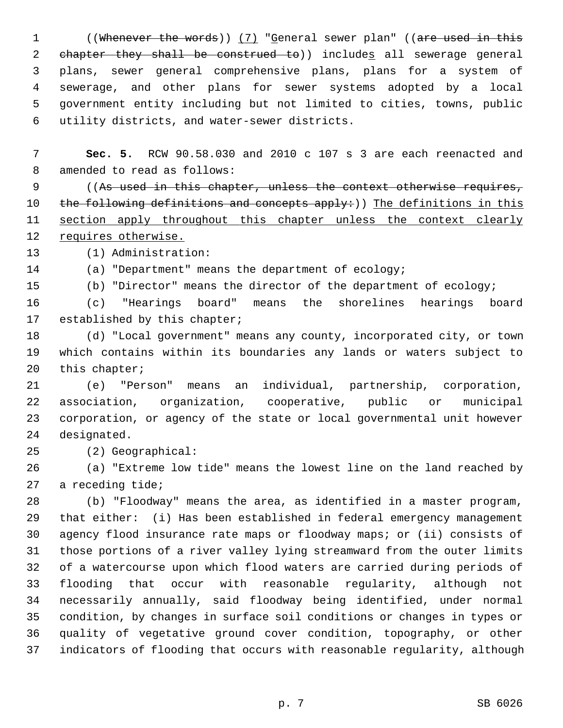1 ((Whenever the words)) (7) "General sewer plan" ((are used in this 2 chapter they shall be construed to)) includes all sewerage general 3 plans, sewer general comprehensive plans, plans for a system of 4 sewerage, and other plans for sewer systems adopted by a local 5 government entity including but not limited to cities, towns, public 6 utility districts, and water-sewer districts.

 7 **Sec. 5.** RCW 90.58.030 and 2010 c 107 s 3 are each reenacted and 8 amended to read as follows:

 9 ((As used in this chapter, unless the context otherwise requires, 10 the following definitions and concepts apply:)) The definitions in this 11 section apply throughout this chapter unless the context clearly 12 requires otherwise.

13 (1) Administration:

14 (a) "Department" means the department of ecology;

15 (b) "Director" means the director of the department of ecology;

16 (c) "Hearings board" means the shorelines hearings board 17 established by this chapter;

18 (d) "Local government" means any county, incorporated city, or town 19 which contains within its boundaries any lands or waters subject to 20 this chapter;

21 (e) "Person" means an individual, partnership, corporation, 22 association, organization, cooperative, public or municipal 23 corporation, or agency of the state or local governmental unit however 24 designated.

25 (2) Geographical:

26 (a) "Extreme low tide" means the lowest line on the land reached by 27 a receding tide;

28 (b) "Floodway" means the area, as identified in a master program, 29 that either: (i) Has been established in federal emergency management 30 agency flood insurance rate maps or floodway maps; or (ii) consists of 31 those portions of a river valley lying streamward from the outer limits 32 of a watercourse upon which flood waters are carried during periods of 33 flooding that occur with reasonable regularity, although not 34 necessarily annually, said floodway being identified, under normal 35 condition, by changes in surface soil conditions or changes in types or 36 quality of vegetative ground cover condition, topography, or other 37 indicators of flooding that occurs with reasonable regularity, although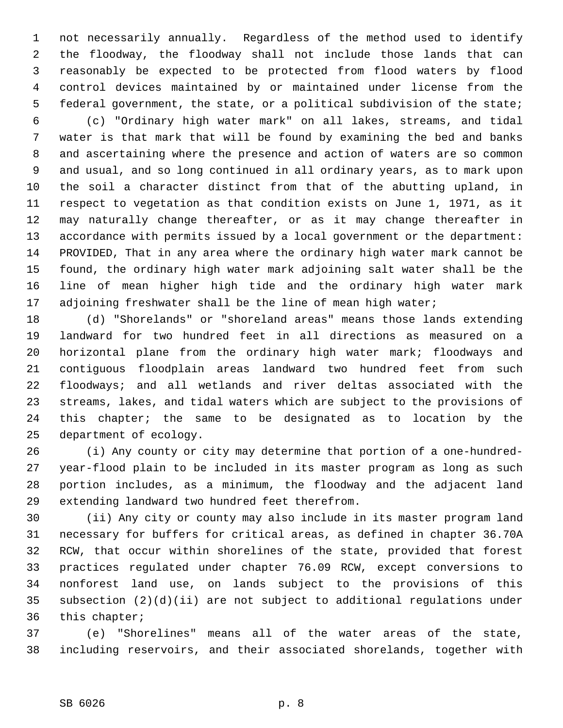1 not necessarily annually. Regardless of the method used to identify 2 the floodway, the floodway shall not include those lands that can 3 reasonably be expected to be protected from flood waters by flood 4 control devices maintained by or maintained under license from the 5 federal government, the state, or a political subdivision of the state;

 6 (c) "Ordinary high water mark" on all lakes, streams, and tidal 7 water is that mark that will be found by examining the bed and banks 8 and ascertaining where the presence and action of waters are so common 9 and usual, and so long continued in all ordinary years, as to mark upon 10 the soil a character distinct from that of the abutting upland, in 11 respect to vegetation as that condition exists on June 1, 1971, as it 12 may naturally change thereafter, or as it may change thereafter in 13 accordance with permits issued by a local government or the department: 14 PROVIDED, That in any area where the ordinary high water mark cannot be 15 found, the ordinary high water mark adjoining salt water shall be the 16 line of mean higher high tide and the ordinary high water mark 17 adjoining freshwater shall be the line of mean high water;

18 (d) "Shorelands" or "shoreland areas" means those lands extending 19 landward for two hundred feet in all directions as measured on a 20 horizontal plane from the ordinary high water mark; floodways and 21 contiguous floodplain areas landward two hundred feet from such 22 floodways; and all wetlands and river deltas associated with the 23 streams, lakes, and tidal waters which are subject to the provisions of 24 this chapter; the same to be designated as to location by the 25 department of ecology.

26 (i) Any county or city may determine that portion of a one-hundred-27 year-flood plain to be included in its master program as long as such 28 portion includes, as a minimum, the floodway and the adjacent land 29 extending landward two hundred feet therefrom.

30 (ii) Any city or county may also include in its master program land 31 necessary for buffers for critical areas, as defined in chapter 36.70A 32 RCW, that occur within shorelines of the state, provided that forest 33 practices regulated under chapter 76.09 RCW, except conversions to 34 nonforest land use, on lands subject to the provisions of this 35 subsection (2)(d)(ii) are not subject to additional regulations under 36 this chapter;

37 (e) "Shorelines" means all of the water areas of the state, 38 including reservoirs, and their associated shorelands, together with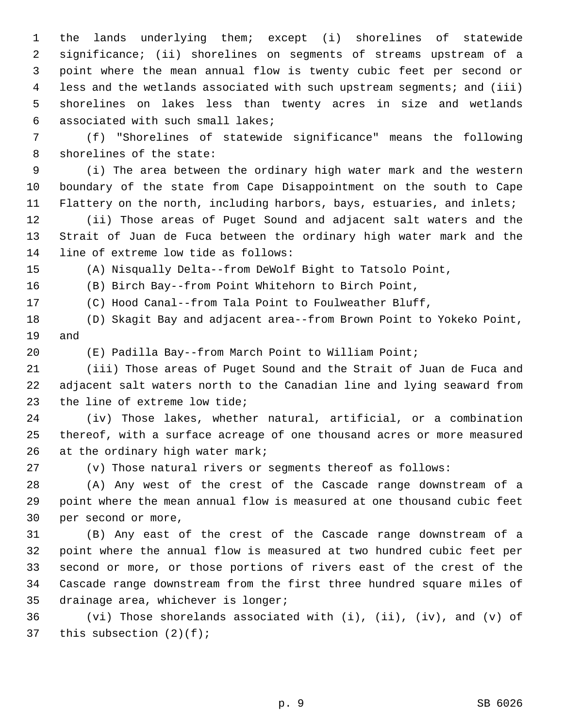1 the lands underlying them; except (i) shorelines of statewide 2 significance; (ii) shorelines on segments of streams upstream of a 3 point where the mean annual flow is twenty cubic feet per second or 4 less and the wetlands associated with such upstream segments; and (iii) 5 shorelines on lakes less than twenty acres in size and wetlands 6 associated with such small lakes;

 7 (f) "Shorelines of statewide significance" means the following 8 shorelines of the state:

 9 (i) The area between the ordinary high water mark and the western 10 boundary of the state from Cape Disappointment on the south to Cape 11 Flattery on the north, including harbors, bays, estuaries, and inlets;

12 (ii) Those areas of Puget Sound and adjacent salt waters and the 13 Strait of Juan de Fuca between the ordinary high water mark and the 14 line of extreme low tide as follows:

15 (A) Nisqually Delta--from DeWolf Bight to Tatsolo Point,

16 (B) Birch Bay--from Point Whitehorn to Birch Point,

17 (C) Hood Canal--from Tala Point to Foulweather Bluff,

18 (D) Skagit Bay and adjacent area--from Brown Point to Yokeko Point, 19 and

20 (E) Padilla Bay--from March Point to William Point;

21 (iii) Those areas of Puget Sound and the Strait of Juan de Fuca and 22 adjacent salt waters north to the Canadian line and lying seaward from 23 the line of extreme low tide;

24 (iv) Those lakes, whether natural, artificial, or a combination 25 thereof, with a surface acreage of one thousand acres or more measured 26 at the ordinary high water mark;

27 (v) Those natural rivers or segments thereof as follows:

28 (A) Any west of the crest of the Cascade range downstream of a 29 point where the mean annual flow is measured at one thousand cubic feet 30 per second or more,

31 (B) Any east of the crest of the Cascade range downstream of a 32 point where the annual flow is measured at two hundred cubic feet per 33 second or more, or those portions of rivers east of the crest of the 34 Cascade range downstream from the first three hundred square miles of 35 drainage area, whichever is longer;

36 (vi) Those shorelands associated with (i), (ii), (iv), and (v) of 37 this subsection (2)(f);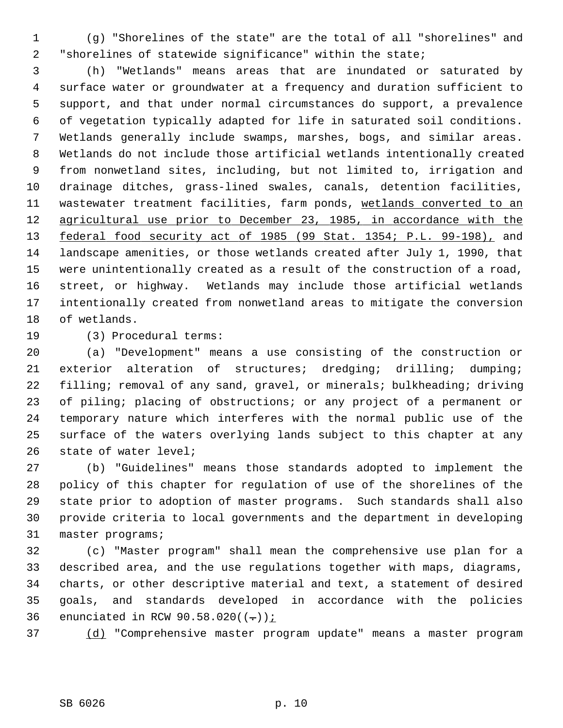1 (g) "Shorelines of the state" are the total of all "shorelines" and 2 "shorelines of statewide significance" within the state;

 3 (h) "Wetlands" means areas that are inundated or saturated by 4 surface water or groundwater at a frequency and duration sufficient to 5 support, and that under normal circumstances do support, a prevalence 6 of vegetation typically adapted for life in saturated soil conditions. 7 Wetlands generally include swamps, marshes, bogs, and similar areas. 8 Wetlands do not include those artificial wetlands intentionally created 9 from nonwetland sites, including, but not limited to, irrigation and 10 drainage ditches, grass-lined swales, canals, detention facilities, 11 wastewater treatment facilities, farm ponds, wetlands converted to an 12 agricultural use prior to December 23, 1985, in accordance with the 13 federal food security act of 1985 (99 Stat. 1354; P.L. 99-198), and 14 landscape amenities, or those wetlands created after July 1, 1990, that 15 were unintentionally created as a result of the construction of a road, 16 street, or highway. Wetlands may include those artificial wetlands 17 intentionally created from nonwetland areas to mitigate the conversion 18 of wetlands.

19 (3) Procedural terms:

20 (a) "Development" means a use consisting of the construction or 21 exterior alteration of structures; dredging; drilling; dumping; 22 filling; removal of any sand, gravel, or minerals; bulkheading; driving 23 of piling; placing of obstructions; or any project of a permanent or 24 temporary nature which interferes with the normal public use of the 25 surface of the waters overlying lands subject to this chapter at any 26 state of water level;

27 (b) "Guidelines" means those standards adopted to implement the 28 policy of this chapter for regulation of use of the shorelines of the 29 state prior to adoption of master programs. Such standards shall also 30 provide criteria to local governments and the department in developing 31 master programs;

32 (c) "Master program" shall mean the comprehensive use plan for a 33 described area, and the use regulations together with maps, diagrams, 34 charts, or other descriptive material and text, a statement of desired 35 goals, and standards developed in accordance with the policies 36 enunciated in RCW  $90.58.020((-))$ ;

37 (d) "Comprehensive master program update" means a master program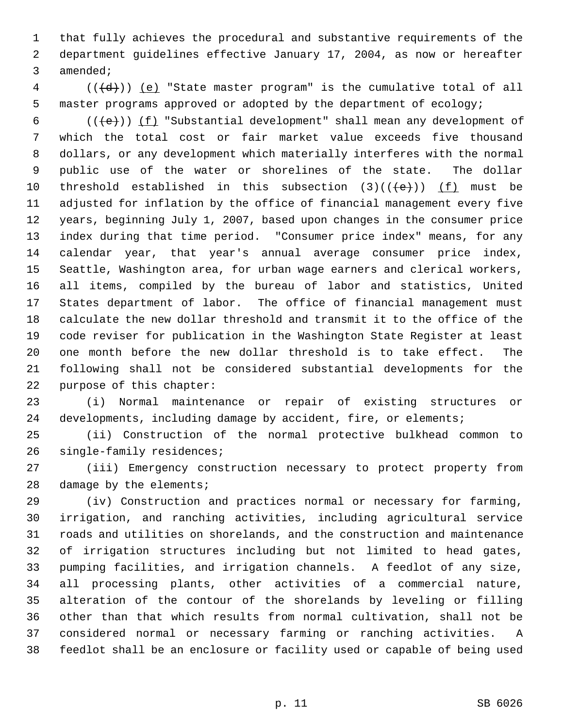1 that fully achieves the procedural and substantive requirements of the 2 department guidelines effective January 17, 2004, as now or hereafter 3 amended;

 $4$  (( $\left(\frac{d}{d}\right)$ ) (e) "State master program" is the cumulative total of all 5 master programs approved or adopted by the department of ecology;

6 (( $\text{+e}$ )) <u>(f)</u> "Substantial development" shall mean any development of 7 which the total cost or fair market value exceeds five thousand 8 dollars, or any development which materially interferes with the normal 9 public use of the water or shorelines of the state. The dollar 10 threshold established in this subsection  $(3)((\{e\}))$  (f) must be 11 adjusted for inflation by the office of financial management every five 12 years, beginning July 1, 2007, based upon changes in the consumer price 13 index during that time period. "Consumer price index" means, for any 14 calendar year, that year's annual average consumer price index, 15 Seattle, Washington area, for urban wage earners and clerical workers, 16 all items, compiled by the bureau of labor and statistics, United 17 States department of labor. The office of financial management must 18 calculate the new dollar threshold and transmit it to the office of the 19 code reviser for publication in the Washington State Register at least 20 one month before the new dollar threshold is to take effect. The 21 following shall not be considered substantial developments for the 22 purpose of this chapter:

23 (i) Normal maintenance or repair of existing structures or 24 developments, including damage by accident, fire, or elements;

25 (ii) Construction of the normal protective bulkhead common to 26 single-family residences;

27 (iii) Emergency construction necessary to protect property from 28 damage by the elements;

29 (iv) Construction and practices normal or necessary for farming, 30 irrigation, and ranching activities, including agricultural service 31 roads and utilities on shorelands, and the construction and maintenance 32 of irrigation structures including but not limited to head gates, 33 pumping facilities, and irrigation channels. A feedlot of any size, 34 all processing plants, other activities of a commercial nature, 35 alteration of the contour of the shorelands by leveling or filling 36 other than that which results from normal cultivation, shall not be 37 considered normal or necessary farming or ranching activities. A 38 feedlot shall be an enclosure or facility used or capable of being used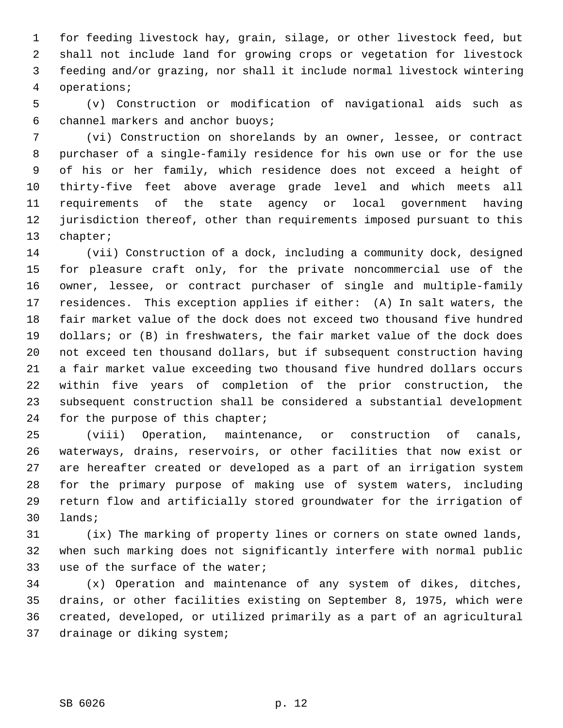1 for feeding livestock hay, grain, silage, or other livestock feed, but 2 shall not include land for growing crops or vegetation for livestock 3 feeding and/or grazing, nor shall it include normal livestock wintering 4 operations;

 5 (v) Construction or modification of navigational aids such as 6 channel markers and anchor buoys;

 7 (vi) Construction on shorelands by an owner, lessee, or contract 8 purchaser of a single-family residence for his own use or for the use 9 of his or her family, which residence does not exceed a height of 10 thirty-five feet above average grade level and which meets all 11 requirements of the state agency or local government having 12 jurisdiction thereof, other than requirements imposed pursuant to this 13 chapter;

14 (vii) Construction of a dock, including a community dock, designed 15 for pleasure craft only, for the private noncommercial use of the 16 owner, lessee, or contract purchaser of single and multiple-family 17 residences. This exception applies if either: (A) In salt waters, the 18 fair market value of the dock does not exceed two thousand five hundred 19 dollars; or (B) in freshwaters, the fair market value of the dock does 20 not exceed ten thousand dollars, but if subsequent construction having 21 a fair market value exceeding two thousand five hundred dollars occurs 22 within five years of completion of the prior construction, the 23 subsequent construction shall be considered a substantial development 24 for the purpose of this chapter;

25 (viii) Operation, maintenance, or construction of canals, 26 waterways, drains, reservoirs, or other facilities that now exist or 27 are hereafter created or developed as a part of an irrigation system 28 for the primary purpose of making use of system waters, including 29 return flow and artificially stored groundwater for the irrigation of 30 lands;

31 (ix) The marking of property lines or corners on state owned lands, 32 when such marking does not significantly interfere with normal public 33 use of the surface of the water;

34 (x) Operation and maintenance of any system of dikes, ditches, 35 drains, or other facilities existing on September 8, 1975, which were 36 created, developed, or utilized primarily as a part of an agricultural 37 drainage or diking system;